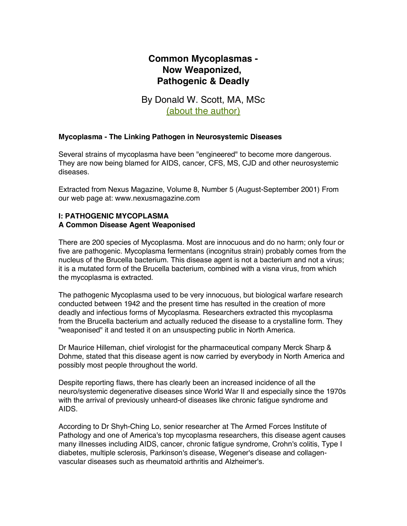# **Common Mycoplasmas - Now Weaponized, Pathogenic & Deadly**

By Donald W. Scott, MA, MSc (about the author)

### **Mycoplasma - The Linking Pathogen in Neurosystemic Diseases**

Several strains of mycoplasma have been "engineered" to become more dangerous. They are now being blamed for AIDS, cancer, CFS, MS, CJD and other neurosystemic diseases.

Extracted from Nexus Magazine, Volume 8, Number 5 (August-September 2001) From our web page at: www.nexusmagazine.com

### **I: PATHOGENIC MYCOPLASMA A Common Disease Agent Weaponised**

There are 200 species of Mycoplasma. Most are innocuous and do no harm; only four or five are pathogenic. Mycoplasma fermentans (incognitus strain) probably comes from the nucleus of the Brucella bacterium. This disease agent is not a bacterium and not a virus; it is a mutated form of the Brucella bacterium, combined with a visna virus, from which the mycoplasma is extracted.

The pathogenic Mycoplasma used to be very innocuous, but biological warfare research conducted between 1942 and the present time has resulted in the creation of more deadly and infectious forms of Mycoplasma. Researchers extracted this mycoplasma from the Brucella bacterium and actually reduced the disease to a crystalline form. They "weaponised" it and tested it on an unsuspecting public in North America.

Dr Maurice Hilleman, chief virologist for the pharmaceutical company Merck Sharp & Dohme, stated that this disease agent is now carried by everybody in North America and possibly most people throughout the world.

Despite reporting flaws, there has clearly been an increased incidence of all the neuro/systemic degenerative diseases since World War II and especially since the 1970s with the arrival of previously unheard-of diseases like chronic fatigue syndrome and AIDS.

According to Dr Shyh-Ching Lo, senior researcher at The Armed Forces Institute of Pathology and one of America's top mycoplasma researchers, this disease agent causes many illnesses including AIDS, cancer, chronic fatigue syndrome, Crohn's colitis, Type I diabetes, multiple sclerosis, Parkinson's disease, Wegener's disease and collagenvascular diseases such as rheumatoid arthritis and Alzheimer's.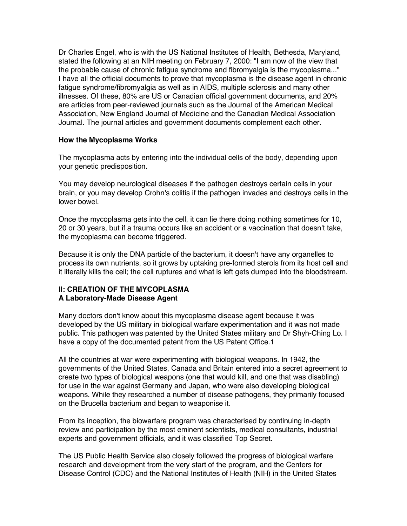Dr Charles Engel, who is with the US National Institutes of Health, Bethesda, Maryland, stated the following at an NIH meeting on February 7, 2000: "I am now of the view that the probable cause of chronic fatigue syndrome and fibromyalgia is the mycoplasma..." I have all the official documents to prove that mycoplasma is the disease agent in chronic fatigue syndrome/fibromyalgia as well as in AIDS, multiple sclerosis and many other illnesses. Of these, 80% are US or Canadian official government documents, and 20% are articles from peer-reviewed journals such as the Journal of the American Medical Association, New England Journal of Medicine and the Canadian Medical Association Journal. The journal articles and government documents complement each other.

### **How the Mycoplasma Works**

The mycoplasma acts by entering into the individual cells of the body, depending upon your genetic predisposition.

You may develop neurological diseases if the pathogen destroys certain cells in your brain, or you may develop Crohn's colitis if the pathogen invades and destroys cells in the lower bowel.

Once the mycoplasma gets into the cell, it can lie there doing nothing sometimes for 10, 20 or 30 years, but if a trauma occurs like an accident or a vaccination that doesn't take, the mycoplasma can become triggered.

Because it is only the DNA particle of the bacterium, it doesn't have any organelles to process its own nutrients, so it grows by uptaking pre-formed sterols from its host cell and it literally kills the cell; the cell ruptures and what is left gets dumped into the bloodstream.

### **II: CREATION OF THE MYCOPLASMA A Laboratory-Made Disease Agent**

Many doctors don't know about this mycoplasma disease agent because it was developed by the US military in biological warfare experimentation and it was not made public. This pathogen was patented by the United States military and Dr Shyh-Ching Lo. I have a copy of the documented patent from the US Patent Office.1

All the countries at war were experimenting with biological weapons. In 1942, the governments of the United States, Canada and Britain entered into a secret agreement to create two types of biological weapons (one that would kill, and one that was disabling) for use in the war against Germany and Japan, who were also developing biological weapons. While they researched a number of disease pathogens, they primarily focused on the Brucella bacterium and began to weaponise it.

From its inception, the biowarfare program was characterised by continuing in-depth review and participation by the most eminent scientists, medical consultants, industrial experts and government officials, and it was classified Top Secret.

The US Public Health Service also closely followed the progress of biological warfare research and development from the very start of the program, and the Centers for Disease Control (CDC) and the National Institutes of Health (NIH) in the United States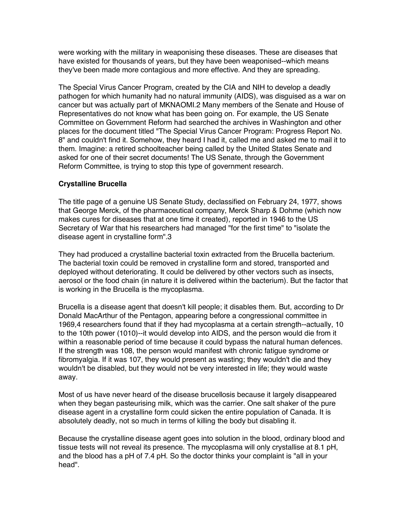were working with the military in weaponising these diseases. These are diseases that have existed for thousands of years, but they have been weaponised--which means they've been made more contagious and more effective. And they are spreading.

The Special Virus Cancer Program, created by the CIA and NIH to develop a deadly pathogen for which humanity had no natural immunity (AIDS), was disguised as a war on cancer but was actually part of MKNAOMI.2 Many members of the Senate and House of Representatives do not know what has been going on. For example, the US Senate Committee on Government Reform had searched the archives in Washington and other places for the document titled "The Special Virus Cancer Program: Progress Report No. 8" and couldn't find it. Somehow, they heard I had it, called me and asked me to mail it to them. Imagine: a retired schoolteacher being called by the United States Senate and asked for one of their secret documents! The US Senate, through the Government Reform Committee, is trying to stop this type of government research.

# **Crystalline Brucella**

The title page of a genuine US Senate Study, declassified on February 24, 1977, shows that George Merck, of the pharmaceutical company, Merck Sharp & Dohme (which now makes cures for diseases that at one time it created), reported in 1946 to the US Secretary of War that his researchers had managed "for the first time" to "isolate the disease agent in crystalline form".3

They had produced a crystalline bacterial toxin extracted from the Brucella bacterium. The bacterial toxin could be removed in crystalline form and stored, transported and deployed without deteriorating. It could be delivered by other vectors such as insects, aerosol or the food chain (in nature it is delivered within the bacterium). But the factor that is working in the Brucella is the mycoplasma.

Brucella is a disease agent that doesn't kill people; it disables them. But, according to Dr Donald MacArthur of the Pentagon, appearing before a congressional committee in 1969,4 researchers found that if they had mycoplasma at a certain strength--actually, 10 to the 10th power (1010)--it would develop into AIDS, and the person would die from it within a reasonable period of time because it could bypass the natural human defences. If the strength was 108, the person would manifest with chronic fatigue syndrome or fibromyalgia. If it was 107, they would present as wasting; they wouldn't die and they wouldn't be disabled, but they would not be very interested in life; they would waste away.

Most of us have never heard of the disease brucellosis because it largely disappeared when they began pasteurising milk, which was the carrier. One salt shaker of the pure disease agent in a crystalline form could sicken the entire population of Canada. It is absolutely deadly, not so much in terms of killing the body but disabling it.

Because the crystalline disease agent goes into solution in the blood, ordinary blood and tissue tests will not reveal its presence. The mycoplasma will only crystallise at 8.1 pH, and the blood has a pH of 7.4 pH. So the doctor thinks your complaint is "all in your head".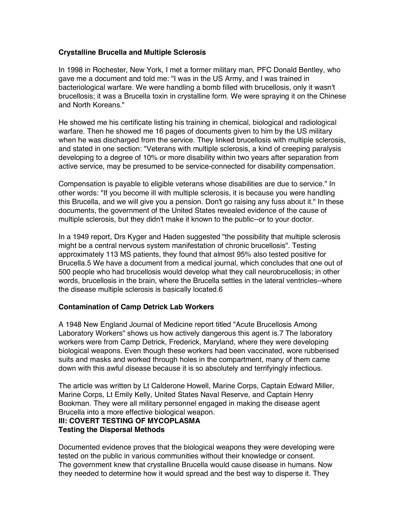### **Crystalline Brucella and Multiple Sclerosis**

In 1998 in Rochester, New York, I met a former military man, PFC Donald Bentley, who gave me a document and told me: "I was in the US Army, and I was trained in bacteriological warfare. We were handling a bomb filled with brucellosis, only it wasn't brucellosis; it was a Brucella toxin in crystalline form. We were spraying it on the Chinese and North Koreans."

He showed me his certificate listing his training in chemical, biological and radiological warfare. Then he showed me 16 pages of documents given to him by the US military when he was discharged from the service. They linked brucellosis with multiple sclerosis, and stated in one section: "Veterans with multiple sclerosis, a kind of creeping paralysis developing to a degree of 10% or more disability within two years after separation from active service, may be presumed to be service-connected for disability compensation.

Compensation is payable to eligible veterans whose disabilities are due to service." In other words: "If you become ill with multiple sclerosis, it is because you were handling this Brucella, and we will give you a pension. Don't go raising any fuss about it." In these documents, the government of the United States revealed evidence of the cause of multiple sclerosis, but they didn't make it known to the public--or to your doctor.

In a 1949 report, Drs Kyger and Haden suggested "the possibility that multiple sclerosis might be a central nervous system manifestation of chronic brucellosis". Testing approximately 113 MS patients, they found that almost 95% also tested positive for Brucella.5 We have a document from a medical journal, which concludes that one out of 500 people who had brucellosis would develop what they call neurobrucellosis; in other words, brucellosis in the brain, where the Brucella settles in the lateral ventricles--where the disease multiple sclerosis is basically located.6

### **Contamination of Camp Detrick Lab Workers**

A 1948 New England Journal of Medicine report titled "Acute Brucellosis Among Laboratory Workers" shows us how actively dangerous this agent is.7 The laboratory workers were from Camp Detrick, Frederick, Maryland, where they were developing biological weapons. Even though these workers had been vaccinated, wore rubberised suits and masks and worked through holes in the compartment, many of them came down with this awful disease because it is so absolutely and terrifyingly infectious.

The article was written by Lt Calderone Howell, Marine Corps, Captain Edward Miller, Marine Corps, Lt Emily Kelly, United States Naval Reserve, and Captain Henry Bookman. They were all military personnel engaged in making the disease agent Brucella into a more effective biological weapon.

### **III: COVERT TESTING OF MYCOPLASMA Testing the Dispersal Methods**

Documented evidence proves that the biological weapons they were developing were tested on the public in various communities without their knowledge or consent. The government knew that crystalline Brucella would cause disease in humans. Now they needed to determine how it would spread and the best way to disperse it. They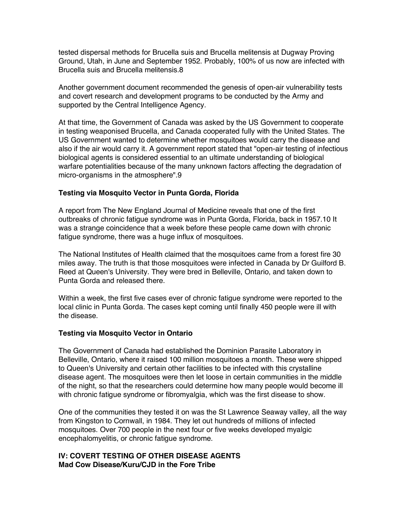tested dispersal methods for Brucella suis and Brucella melitensis at Dugway Proving Ground, Utah, in June and September 1952. Probably, 100% of us now are infected with Brucella suis and Brucella melitensis.8

Another government document recommended the genesis of open-air vulnerability tests and covert research and development programs to be conducted by the Army and supported by the Central Intelligence Agency.

At that time, the Government of Canada was asked by the US Government to cooperate in testing weaponised Brucella, and Canada cooperated fully with the United States. The US Government wanted to determine whether mosquitoes would carry the disease and also if the air would carry it. A government report stated that "open-air testing of infectious biological agents is considered essential to an ultimate understanding of biological warfare potentialities because of the many unknown factors affecting the degradation of micro-organisms in the atmosphere".9

### **Testing via Mosquito Vector in Punta Gorda, Florida**

A report from The New England Journal of Medicine reveals that one of the first outbreaks of chronic fatigue syndrome was in Punta Gorda, Florida, back in 1957.10 It was a strange coincidence that a week before these people came down with chronic fatigue syndrome, there was a huge influx of mosquitoes.

The National Institutes of Health claimed that the mosquitoes came from a forest fire 30 miles away. The truth is that those mosquitoes were infected in Canada by Dr Guilford B. Reed at Queen's University. They were bred in Belleville, Ontario, and taken down to Punta Gorda and released there.

Within a week, the first five cases ever of chronic fatigue syndrome were reported to the local clinic in Punta Gorda. The cases kept coming until finally 450 people were ill with the disease.

#### **Testing via Mosquito Vector in Ontario**

The Government of Canada had established the Dominion Parasite Laboratory in Belleville, Ontario, where it raised 100 million mosquitoes a month. These were shipped to Queen's University and certain other facilities to be infected with this crystalline disease agent. The mosquitoes were then let loose in certain communities in the middle of the night, so that the researchers could determine how many people would become ill with chronic fatigue syndrome or fibromyalgia, which was the first disease to show.

One of the communities they tested it on was the St Lawrence Seaway valley, all the way from Kingston to Cornwall, in 1984. They let out hundreds of millions of infected mosquitoes. Over 700 people in the next four or five weeks developed myalgic encephalomyelitis, or chronic fatigue syndrome.

### **IV: COVERT TESTING OF OTHER DISEASE AGENTS Mad Cow Disease/Kuru/CJD in the Fore Tribe**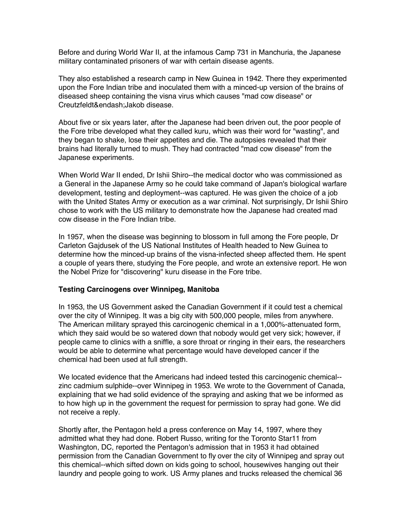Before and during World War II, at the infamous Camp 731 in Manchuria, the Japanese military contaminated prisoners of war with certain disease agents.

They also established a research camp in New Guinea in 1942. There they experimented upon the Fore Indian tribe and inoculated them with a minced-up version of the brains of diseased sheep containing the visna virus which causes "mad cow disease" or Creutzfeldt&endash;Jakob disease.

About five or six years later, after the Japanese had been driven out, the poor people of the Fore tribe developed what they called kuru, which was their word for "wasting", and they began to shake, lose their appetites and die. The autopsies revealed that their brains had literally turned to mush. They had contracted "mad cow disease" from the Japanese experiments.

When World War II ended, Dr Ishii Shiro--the medical doctor who was commissioned as a General in the Japanese Army so he could take command of Japan's biological warfare development, testing and deployment--was captured. He was given the choice of a job with the United States Army or execution as a war criminal. Not surprisingly, Dr Ishii Shiro chose to work with the US military to demonstrate how the Japanese had created mad cow disease in the Fore Indian tribe.

In 1957, when the disease was beginning to blossom in full among the Fore people, Dr Carleton Gajdusek of the US National Institutes of Health headed to New Guinea to determine how the minced-up brains of the visna-infected sheep affected them. He spent a couple of years there, studying the Fore people, and wrote an extensive report. He won the Nobel Prize for "discovering" kuru disease in the Fore tribe.

#### **Testing Carcinogens over Winnipeg, Manitoba**

In 1953, the US Government asked the Canadian Government if it could test a chemical over the city of Winnipeg. It was a big city with 500,000 people, miles from anywhere. The American military sprayed this carcinogenic chemical in a 1,000%-attenuated form, which they said would be so watered down that nobody would get very sick; however, if people came to clinics with a sniffle, a sore throat or ringing in their ears, the researchers would be able to determine what percentage would have developed cancer if the chemical had been used at full strength.

We located evidence that the Americans had indeed tested this carcinogenic chemical- zinc cadmium sulphide--over Winnipeg in 1953. We wrote to the Government of Canada, explaining that we had solid evidence of the spraying and asking that we be informed as to how high up in the government the request for permission to spray had gone. We did not receive a reply.

Shortly after, the Pentagon held a press conference on May 14, 1997, where they admitted what they had done. Robert Russo, writing for the Toronto Star11 from Washington, DC, reported the Pentagon's admission that in 1953 it had obtained permission from the Canadian Government to fly over the city of Winnipeg and spray out this chemical--which sifted down on kids going to school, housewives hanging out their laundry and people going to work. US Army planes and trucks released the chemical 36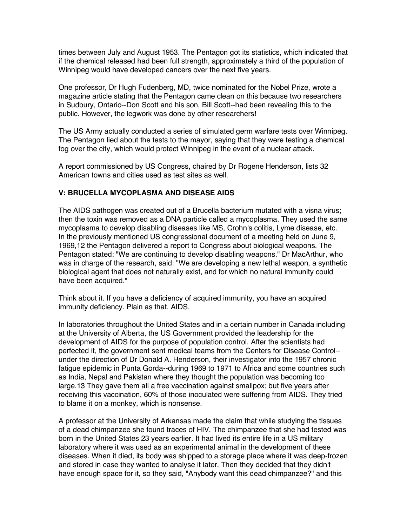times between July and August 1953. The Pentagon got its statistics, which indicated that if the chemical released had been full strength, approximately a third of the population of Winnipeg would have developed cancers over the next five years.

One professor, Dr Hugh Fudenberg, MD, twice nominated for the Nobel Prize, wrote a magazine article stating that the Pentagon came clean on this because two researchers in Sudbury, Ontario--Don Scott and his son, Bill Scott--had been revealing this to the public. However, the legwork was done by other researchers!

The US Army actually conducted a series of simulated germ warfare tests over Winnipeg. The Pentagon lied about the tests to the mayor, saying that they were testing a chemical fog over the city, which would protect Winnipeg in the event of a nuclear attack.

A report commissioned by US Congress, chaired by Dr Rogene Henderson, lists 32 American towns and cities used as test sites as well.

# **V: BRUCELLA MYCOPLASMA AND DISEASE AIDS**

The AIDS pathogen was created out of a Brucella bacterium mutated with a visna virus; then the toxin was removed as a DNA particle called a mycoplasma. They used the same mycoplasma to develop disabling diseases like MS, Crohn's colitis, Lyme disease, etc. In the previously mentioned US congressional document of a meeting held on June 9, 1969,12 the Pentagon delivered a report to Congress about biological weapons. The Pentagon stated: "We are continuing to develop disabling weapons." Dr MacArthur, who was in charge of the research, said: "We are developing a new lethal weapon, a synthetic biological agent that does not naturally exist, and for which no natural immunity could have been acquired."

Think about it. If you have a deficiency of acquired immunity, you have an acquired immunity deficiency. Plain as that. AIDS.

In laboratories throughout the United States and in a certain number in Canada including at the University of Alberta, the US Government provided the leadership for the development of AIDS for the purpose of population control. After the scientists had perfected it, the government sent medical teams from the Centers for Disease Control- under the direction of Dr Donald A. Henderson, their investigator into the 1957 chronic fatigue epidemic in Punta Gorda--during 1969 to 1971 to Africa and some countries such as India, Nepal and Pakistan where they thought the population was becoming too large.13 They gave them all a free vaccination against smallpox; but five years after receiving this vaccination, 60% of those inoculated were suffering from AIDS. They tried to blame it on a monkey, which is nonsense.

A professor at the University of Arkansas made the claim that while studying the tissues of a dead chimpanzee she found traces of HIV. The chimpanzee that she had tested was born in the United States 23 years earlier. It had lived its entire life in a US military laboratory where it was used as an experimental animal in the development of these diseases. When it died, its body was shipped to a storage place where it was deep-frozen and stored in case they wanted to analyse it later. Then they decided that they didn't have enough space for it, so they said, "Anybody want this dead chimpanzee?" and this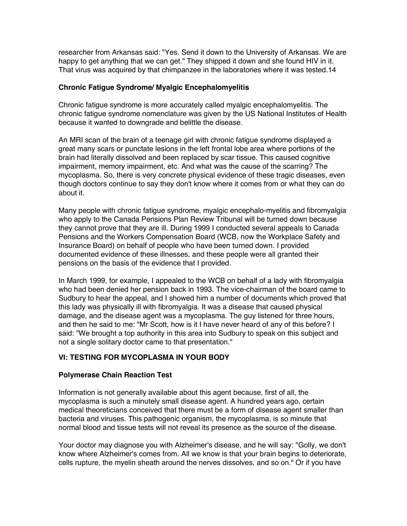researcher from Arkansas said: "Yes. Send it down to the University of Arkansas. We are happy to get anything that we can get." They shipped it down and she found HIV in it. That virus was acquired by that chimpanzee in the laboratories where it was tested.14

### **Chronic Fatigue Syndrome/ Myalgic Encephalomyelitis**

Chronic fatigue syndrome is more accurately called myalgic encephalomyelitis. The chronic fatigue syndrome nomenclature was given by the US National Institutes of Health because it wanted to downgrade and belittle the disease.

An MRI scan of the brain of a teenage girl with chronic fatigue syndrome displayed a great many scars or punctate lesions in the left frontal lobe area where portions of the brain had literally dissolved and been replaced by scar tissue. This caused cognitive impairment, memory impairment, etc. And what was the cause of the scarring? The mycoplasma. So, there is very concrete physical evidence of these tragic diseases, even though doctors continue to say they don't know where it comes from or what they can do about it.

Many people with chronic fatigue syndrome, myalgic encephalo-myelitis and fibromyalgia who apply to the Canada Pensions Plan Review Tribunal will be turned down because they cannot prove that they are ill. During 1999 I conducted several appeals to Canada Pensions and the Workers Compensation Board (WCB, now the Workplace Safety and Insurance Board) on behalf of people who have been turned down. I provided documented evidence of these illnesses, and these people were all granted their pensions on the basis of the evidence that I provided.

In March 1999, for example, I appealed to the WCB on behalf of a lady with fibromyalgia who had been denied her pension back in 1993. The vice-chairman of the board came to Sudbury to hear the appeal, and I showed him a number of documents which proved that this lady was physically ill with fibromyalgia. It was a disease that caused physical damage, and the disease agent was a mycoplasma. The guy listened for three hours, and then he said to me: "Mr Scott, how is it I have never heard of any of this before? I said: "We brought a top authority in this area into Sudbury to speak on this subject and not a single solitary doctor came to that presentation."

# **VI: TESTING FOR MYCOPLASMA IN YOUR BODY**

# **Polymerase Chain Reaction Test**

Information is not generally available about this agent because, first of all, the mycoplasma is such a minutely small disease agent. A hundred years ago, certain medical theoreticians conceived that there must be a form of disease agent smaller than bacteria and viruses. This pathogenic organism, the mycoplasma, is so minute that normal blood and tissue tests will not reveal its presence as the source of the disease.

Your doctor may diagnose you with Alzheimer's disease, and he will say: "Golly, we don't know where Alzheimer's comes from. All we know is that your brain begins to deteriorate, cells rupture, the myelin sheath around the nerves dissolves, and so on." Or if you have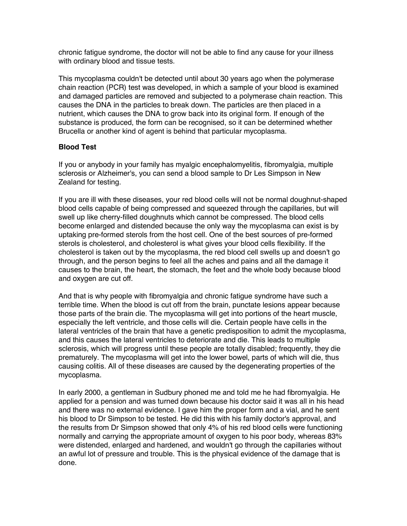chronic fatigue syndrome, the doctor will not be able to find any cause for your illness with ordinary blood and tissue tests.

This mycoplasma couldn't be detected until about 30 years ago when the polymerase chain reaction (PCR) test was developed, in which a sample of your blood is examined and damaged particles are removed and subjected to a polymerase chain reaction. This causes the DNA in the particles to break down. The particles are then placed in a nutrient, which causes the DNA to grow back into its original form. If enough of the substance is produced, the form can be recognised, so it can be determined whether Brucella or another kind of agent is behind that particular mycoplasma.

### **Blood Test**

If you or anybody in your family has myalgic encephalomyelitis, fibromyalgia, multiple sclerosis or Alzheimer's, you can send a blood sample to Dr Les Simpson in New Zealand for testing.

If you are ill with these diseases, your red blood cells will not be normal doughnut-shaped blood cells capable of being compressed and squeezed through the capillaries, but will swell up like cherry-filled doughnuts which cannot be compressed. The blood cells become enlarged and distended because the only way the mycoplasma can exist is by uptaking pre-formed sterols from the host cell. One of the best sources of pre-formed sterols is cholesterol, and cholesterol is what gives your blood cells flexibility. If the cholesterol is taken out by the mycoplasma, the red blood cell swells up and doesn't go through, and the person begins to feel all the aches and pains and all the damage it causes to the brain, the heart, the stomach, the feet and the whole body because blood and oxygen are cut off.

And that is why people with fibromyalgia and chronic fatigue syndrome have such a terrible time. When the blood is cut off from the brain, punctate lesions appear because those parts of the brain die. The mycoplasma will get into portions of the heart muscle, especially the left ventricle, and those cells will die. Certain people have cells in the lateral ventricles of the brain that have a genetic predisposition to admit the mycoplasma, and this causes the lateral ventricles to deteriorate and die. This leads to multiple sclerosis, which will progress until these people are totally disabled; frequently, they die prematurely. The mycoplasma will get into the lower bowel, parts of which will die, thus causing colitis. All of these diseases are caused by the degenerating properties of the mycoplasma.

In early 2000, a gentleman in Sudbury phoned me and told me he had fibromyalgia. He applied for a pension and was turned down because his doctor said it was all in his head and there was no external evidence. I gave him the proper form and a vial, and he sent his blood to Dr Simpson to be tested. He did this with his family doctor's approval, and the results from Dr Simpson showed that only 4% of his red blood cells were functioning normally and carrying the appropriate amount of oxygen to his poor body, whereas 83% were distended, enlarged and hardened, and wouldn't go through the capillaries without an awful lot of pressure and trouble. This is the physical evidence of the damage that is done.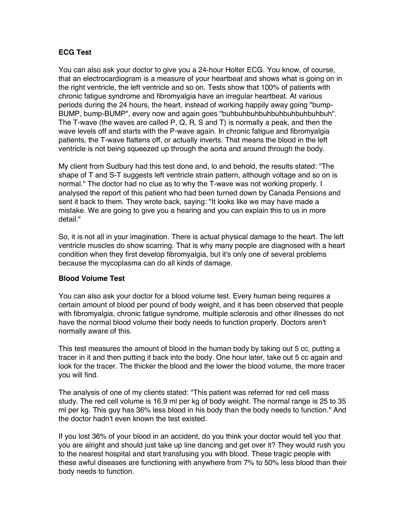### **ECG Test**

You can also ask your doctor to give you a 24-hour Holter ECG. You know, of course, that an electrocardiogram is a measure of your heartbeat and shows what is going on in the right ventricle, the left ventricle and so on. Tests show that 100% of patients with chronic fatigue syndrome and fibromyalgia have an irregular heartbeat. At various periods during the 24 hours, the heart, instead of working happily away going "bump-BUMP, bump-BUMP", every now and again goes "buhbuhbuhbuhbuhbuhbuhbuhbuh". The T-wave (the waves are called P, Q, R, S and T) is normally a peak, and then the wave levels off and starts with the P-wave again. In chronic fatigue and fibromyalgia patients, the T-wave flattens off, or actually inverts. That means the blood in the left ventricle is not being squeezed up through the aorta and around through the body.

My client from Sudbury had this test done and, lo and behold, the results stated: "The shape of T and S-T suggests left ventricle strain pattern, although voltage and so on is normal." The doctor had no clue as to why the T-wave was not working properly. I analysed the report of this patient who had been turned down by Canada Pensions and sent it back to them. They wrote back, saying: "It looks like we may have made a mistake. We are going to give you a hearing and you can explain this to us in more detail."

So, it is not all in your imagination. There is actual physical damage to the heart. The left ventricle muscles do show scarring. That is why many people are diagnosed with a heart condition when they first develop fibromyalgia, but it's only one of several problems because the mycoplasma can do all kinds of damage.

### **Blood Volume Test**

You can also ask your doctor for a blood volume test. Every human being requires a certain amount of blood per pound of body weight, and it has been observed that people with fibromyalgia, chronic fatigue syndrome, multiple sclerosis and other illnesses do not have the normal blood volume their body needs to function properly. Doctors aren't normally aware of this.

This test measures the amount of blood in the human body by taking out 5 cc, putting a tracer in it and then putting it back into the body. One hour later, take out 5 cc again and look for the tracer. The thicker the blood and the lower the blood volume, the more tracer you will find.

The analysis of one of my clients stated: "This patient was referred for red cell mass study. The red cell volume is 16.9 ml per kg of body weight. The normal range is 25 to 35 ml per kg. This guy has 36% less blood in his body than the body needs to function." And the doctor hadn't even known the test existed.

If you lost 36% of your blood in an accident, do you think your doctor would tell you that you are alright and should just take up line dancing and get over it? They would rush you to the nearest hospital and start transfusing you with blood. These tragic people with these awful diseases are functioning with anywhere from 7% to 50% less blood than their body needs to function.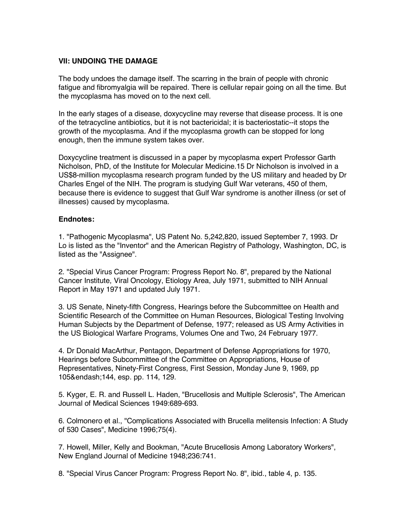### **VII: UNDOING THE DAMAGE**

The body undoes the damage itself. The scarring in the brain of people with chronic fatigue and fibromyalgia will be repaired. There is cellular repair going on all the time. But the mycoplasma has moved on to the next cell.

In the early stages of a disease, doxycycline may reverse that disease process. It is one of the tetracycline antibiotics, but it is not bactericidal; it is bacteriostatic--it stops the growth of the mycoplasma. And if the mycoplasma growth can be stopped for long enough, then the immune system takes over.

Doxycycline treatment is discussed in a paper by mycoplasma expert Professor Garth Nicholson, PhD, of the Institute for Molecular Medicine.15 Dr Nicholson is involved in a US\$8-million mycoplasma research program funded by the US military and headed by Dr Charles Engel of the NIH. The program is studying Gulf War veterans, 450 of them, because there is evidence to suggest that Gulf War syndrome is another illness (or set of illnesses) caused by mycoplasma.

#### **Endnotes:**

1. "Pathogenic Mycoplasma", US Patent No. 5,242,820, issued September 7, 1993. Dr Lo is listed as the "Inventor" and the American Registry of Pathology, Washington, DC, is listed as the "Assignee".

2. "Special Virus Cancer Program: Progress Report No. 8", prepared by the National Cancer Institute, Viral Oncology, Etiology Area, July 1971, submitted to NIH Annual Report in May 1971 and updated July 1971.

3. US Senate, Ninety-fifth Congress, Hearings before the Subcommittee on Health and Scientific Research of the Committee on Human Resources, Biological Testing Involving Human Subjects by the Department of Defense, 1977; released as US Army Activities in the US Biological Warfare Programs, Volumes One and Two, 24 February 1977.

4. Dr Donald MacArthur, Pentagon, Department of Defense Appropriations for 1970, Hearings before Subcommittee of the Committee on Appropriations, House of Representatives, Ninety-First Congress, First Session, Monday June 9, 1969, pp 105&endash;144, esp. pp. 114, 129.

5. Kyger, E. R. and Russell L. Haden, "Brucellosis and Multiple Sclerosis", The American Journal of Medical Sciences 1949:689-693.

6. Colmonero et al., "Complications Associated with Brucella melitensis Infection: A Study of 530 Cases", Medicine 1996;75(4).

7. Howell, Miller, Kelly and Bookman, "Acute Brucellosis Among Laboratory Workers", New England Journal of Medicine 1948;236:741.

8. "Special Virus Cancer Program: Progress Report No. 8", ibid., table 4, p. 135.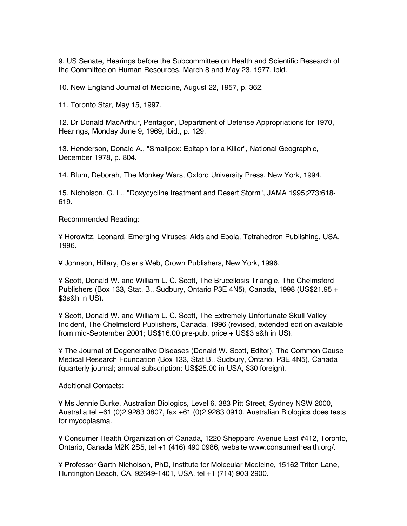9. US Senate, Hearings before the Subcommittee on Health and Scientific Research of the Committee on Human Resources, March 8 and May 23, 1977, ibid.

10. New England Journal of Medicine, August 22, 1957, p. 362.

11. Toronto Star, May 15, 1997.

12. Dr Donald MacArthur, Pentagon, Department of Defense Appropriations for 1970, Hearings, Monday June 9, 1969, ibid., p. 129.

13. Henderson, Donald A., "Smallpox: Epitaph for a Killer", National Geographic, December 1978, p. 804.

14. Blum, Deborah, The Monkey Wars, Oxford University Press, New York, 1994.

15. Nicholson, G. L., "Doxycycline treatment and Desert Storm", JAMA 1995;273:618- 619.

Recommended Reading:

¥ Horowitz, Leonard, Emerging Viruses: Aids and Ebola, Tetrahedron Publishing, USA, 1996.

¥ Johnson, Hillary, Osler's Web, Crown Publishers, New York, 1996.

¥ Scott, Donald W. and William L. C. Scott, The Brucellosis Triangle, The Chelmsford Publishers (Box 133, Stat. B., Sudbury, Ontario P3E 4N5), Canada, 1998 (US\$21.95 + \$3s&h in US).

¥ Scott, Donald W. and William L. C. Scott, The Extremely Unfortunate Skull Valley Incident, The Chelmsford Publishers, Canada, 1996 (revised, extended edition available from mid-September 2001; US\$16.00 pre-pub. price + US\$3 s&h in US).

¥ The Journal of Degenerative Diseases (Donald W. Scott, Editor), The Common Cause Medical Research Foundation (Box 133, Stat B., Sudbury, Ontario, P3E 4N5), Canada (quarterly journal; annual subscription: US\$25.00 in USA, \$30 foreign).

Additional Contacts:

¥ Ms Jennie Burke, Australian Biologics, Level 6, 383 Pitt Street, Sydney NSW 2000, Australia tel +61 (0)2 9283 0807, fax +61 (0)2 9283 0910. Australian Biologics does tests for mycoplasma.

¥ Consumer Health Organization of Canada, 1220 Sheppard Avenue East #412, Toronto, Ontario, Canada M2K 2S5, tel +1 (416) 490 0986, website www.consumerhealth.org/.

¥ Professor Garth Nicholson, PhD, Institute for Molecular Medicine, 15162 Triton Lane, Huntington Beach, CA, 92649-1401, USA, tel +1 (714) 903 2900.